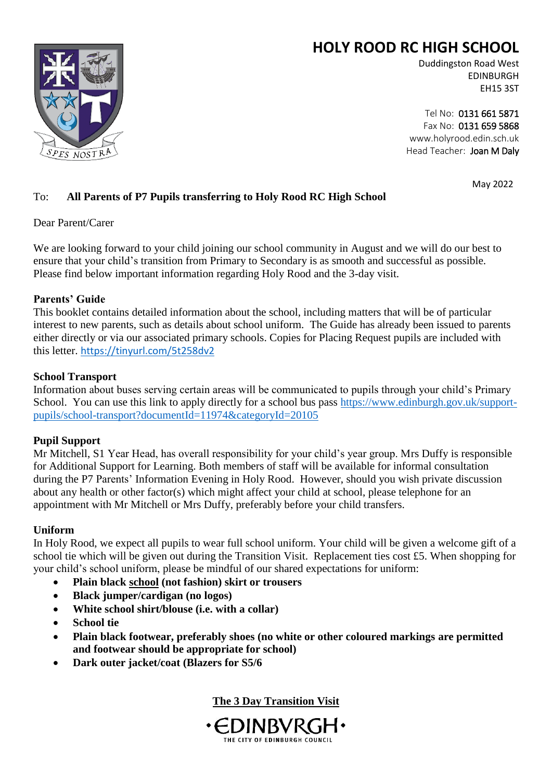# **HOLY ROOD RC HIGH SCHOOL**



Duddingston Road West EDINBURGH EH15 3ST

Tel No: 0131 661 5871 Fax No: 0131 659 5868 www.holyrood.edin.sch.uk Head Teacher: Joan M Daly

May 2022

# To: **All Parents of P7 Pupils transferring to Holy Rood RC High School**

Dear Parent/Carer

We are looking forward to your child joining our school community in August and we will do our best to ensure that your child's transition from Primary to Secondary is as smooth and successful as possible. Please find below important information regarding Holy Rood and the 3-day visit.

## **Parents' Guide**

This booklet contains detailed information about the school, including matters that will be of particular interest to new parents, such as details about school uniform. The Guide has already been issued to parents either directly or via our associated primary schools. Copies for Placing Request pupils are included with this letter. <https://tinyurl.com/5t258dv2>

## **School Transport**

Information about buses serving certain areas will be communicated to pupils through your child's Primary School. You can use this link to apply directly for a school bus pass [https://www.edinburgh.gov.uk/support](https://www.edinburgh.gov.uk/support-pupils/school-transport?documentId=11974&categoryId=20105)[pupils/school-transport?documentId=11974&categoryId=20105](https://www.edinburgh.gov.uk/support-pupils/school-transport?documentId=11974&categoryId=20105)

# **Pupil Support**

Mr Mitchell, S1 Year Head, has overall responsibility for your child's year group. Mrs Duffy is responsible for Additional Support for Learning. Both members of staff will be available for informal consultation during the P7 Parents' Information Evening in Holy Rood. However, should you wish private discussion about any health or other factor(s) which might affect your child at school, please telephone for an appointment with Mr Mitchell or Mrs Duffy, preferably before your child transfers.

## **Uniform**

In Holy Rood, we expect all pupils to wear full school uniform. Your child will be given a welcome gift of a school tie which will be given out during the Transition Visit. Replacement ties cost £5. When shopping for your child's school uniform, please be mindful of our shared expectations for uniform:

- **Plain black school (not fashion) skirt or trousers**
- **Black jumper/cardigan (no logos)**
- **White school shirt/blouse (i.e. with a collar)**
- **School tie**
- **Plain black footwear, preferably shoes (no white or other coloured markings are permitted and footwear should be appropriate for school)**
- **Dark outer jacket/coat (Blazers for S5/6**

**The 3 Day Transition Visit**